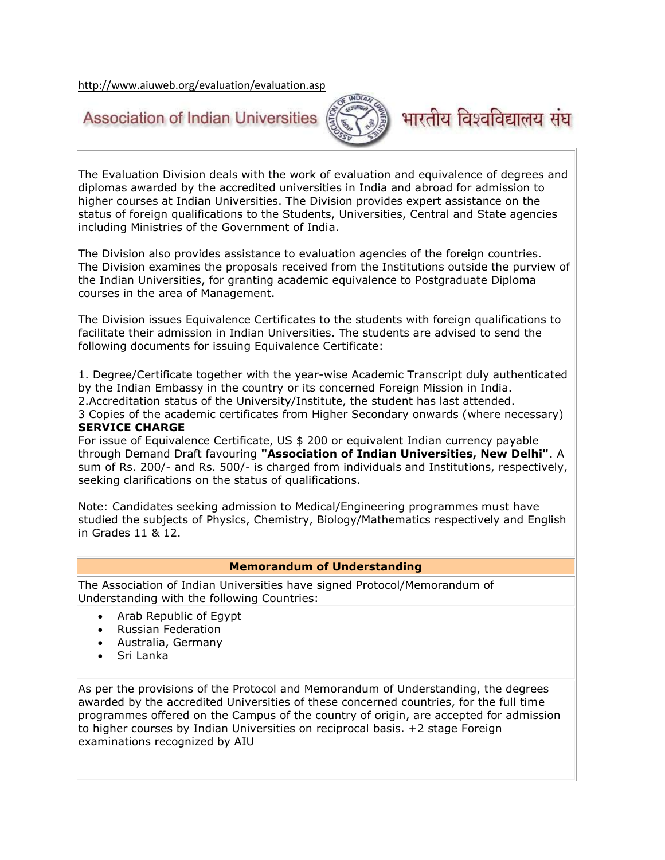<http://www.aiuweb.org/evaluation/evaluation.asp>

## **Association of Indian Universities**



## भारतीय विश्वविद्यालय संघ

The Evaluation Division deals with the work of evaluation and equivalence of degrees and diplomas awarded by the accredited universities in India and abroad for admission to higher courses at Indian Universities. The Division provides expert assistance on the status of foreign qualifications to the Students, Universities, Central and State agencies including Ministries of the Government of India.

The Division also provides assistance to evaluation agencies of the foreign countries. The Division examines the proposals received from the Institutions outside the purview of the Indian Universities, for granting academic equivalence to Postgraduate Diploma courses in the area of Management.

The Division issues Equivalence Certificates to the students with foreign qualifications to facilitate their admission in Indian Universities. The students are advised to send the following documents for issuing Equivalence Certificate:

1. Degree/Certificate together with the year-wise Academic Transcript duly authenticated by the Indian Embassy in the country or its concerned Foreign Mission in India. 2.Accreditation status of the University/Institute, the student has last attended. 3 Copies of the academic certificates from Higher Secondary onwards (where necessary)

## **SERVICE CHARGE**

For issue of Equivalence Certificate, US \$ 200 or equivalent Indian currency payable through Demand Draft favouring **"Association of Indian Universities, New Delhi"**. A sum of Rs. 200/- and Rs. 500/- is charged from individuals and Institutions, respectively, seeking clarifications on the status of qualifications.

Note: Candidates seeking admission to Medical/Engineering programmes must have studied the subjects of Physics, Chemistry, Biology/Mathematics respectively and English in Grades 11 & 12.

## **Memorandum of Understanding**

The Association of Indian Universities have signed Protocol/Memorandum of Understanding with the following Countries:

- Arab Republic of Egypt
- Russian Federation
- Australia, Germany
- Sri Lanka

As per the provisions of the Protocol and Memorandum of Understanding, the degrees awarded by the accredited Universities of these concerned countries, for the full time programmes offered on the Campus of the country of origin, are accepted for admission to higher courses by Indian Universities on reciprocal basis. +2 stage Foreign examinations recognized by AIU